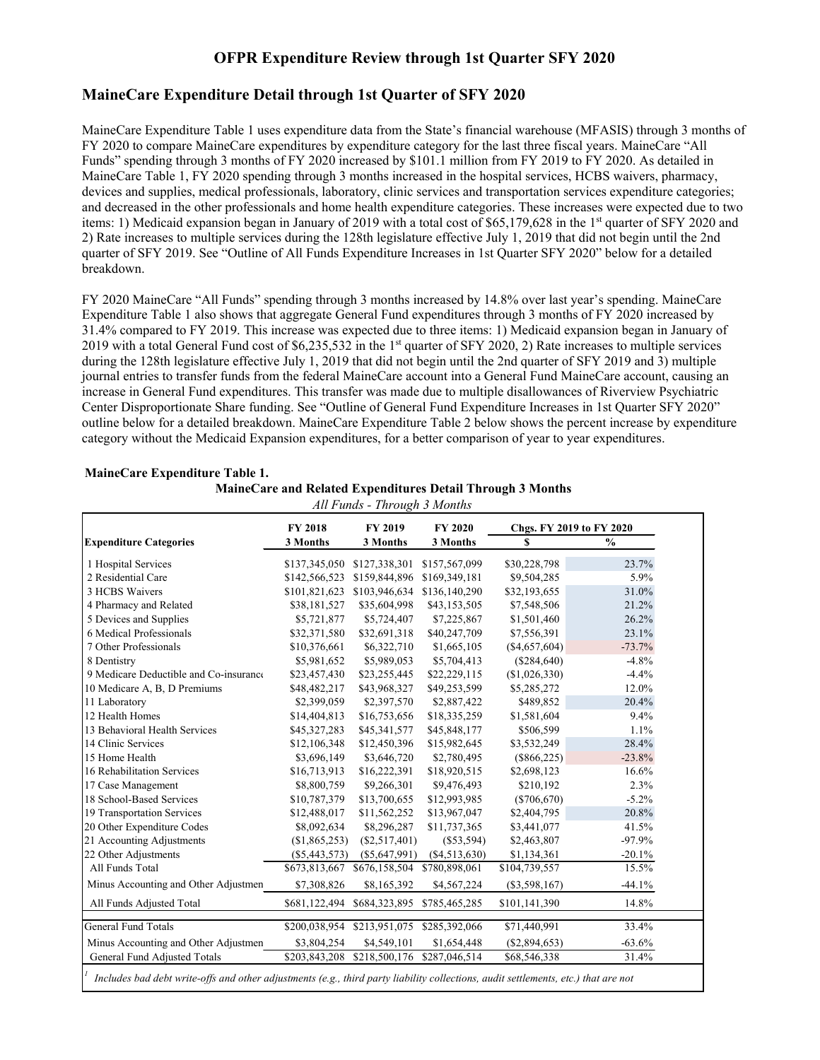# **OFPR Expenditure Review through 1st Quarter SFY 2020**

### **MaineCare Expenditure Detail through 1st Quarter of SFY 2020**

MaineCare Expenditure Table 1 uses expenditure data from the State's financial warehouse (MFASIS) through 3 months of FY 2020 to compare MaineCare expenditures by expenditure category for the last three fiscal years. MaineCare "All Funds" spending through 3 months of FY 2020 increased by \$101.1 million from FY 2019 to FY 2020. As detailed in MaineCare Table 1, FY 2020 spending through 3 months increased in the hospital services, HCBS waivers, pharmacy, devices and supplies, medical professionals, laboratory, clinic services and transportation services expenditure categories; and decreased in the other professionals and home health expenditure categories. These increases were expected due to two items: 1) Medicaid expansion began in January of 2019 with a total cost of  $$65,179,628$  in the 1<sup>st</sup> quarter of SFY 2020 and 2) Rate increases to multiple services during the 128th legislature effective July 1, 2019 that did not begin until the 2nd quarter of SFY 2019. See "Outline of All Funds Expenditure Increases in 1st Quarter SFY 2020" below for a detailed breakdown.

FY 2020 MaineCare "All Funds" spending through 3 months increased by 14.8% over last year's spending. MaineCare Expenditure Table 1 also shows that aggregate General Fund expenditures through 3 months of FY 2020 increased by 31.4% compared to FY 2019. This increase was expected due to three items: 1) Medicaid expansion began in January of 2019 with a total General Fund cost of \$6,235,532 in the 1st quarter of SFY 2020, 2) Rate increases to multiple services during the 128th legislature effective July 1, 2019 that did not begin until the 2nd quarter of SFY 2019 and 3) multiple journal entries to transfer funds from the federal MaineCare account into a General Fund MaineCare account, causing an increase in General Fund expenditures. This transfer was made due to multiple disallowances of Riverview Psychiatric Center Disproportionate Share funding. See "Outline of General Fund Expenditure Increases in 1st Quarter SFY 2020" outline below for a detailed breakdown. MaineCare Expenditure Table 2 below shows the percent increase by expenditure category without the Medicaid Expansion expenditures, for a better comparison of year to year expenditures.

|                                        | <b>FY 2018</b>  | FY 2019                     | <b>FY 2020</b>  | Chgs. FY 2019 to FY 2020 |               |  |
|----------------------------------------|-----------------|-----------------------------|-----------------|--------------------------|---------------|--|
| <b>Expenditure Categories</b>          | 3 Months        | 3 Months                    | 3 Months        | \$                       | $\frac{0}{0}$ |  |
| 1 Hospital Services                    | \$137,345,050   | \$127,338,301               | \$157,567,099   | \$30,228,798             | 23.7%         |  |
| 2 Residential Care                     | \$142,566,523   | \$159,844,896               | \$169,349,181   | \$9,504,285              | 5.9%          |  |
| 3 HCBS Waivers                         | \$101,821,623   | \$103,946,634               | \$136,140,290   | \$32,193,655             | 31.0%         |  |
| 4 Pharmacy and Related                 | \$38,181,527    | \$35,604,998                | \$43,153,505    | \$7,548,506              | 21.2%         |  |
| 5 Devices and Supplies                 | \$5,721,877     | \$5,724,407                 | \$7,225,867     | \$1,501,460              | 26.2%         |  |
| 6 Medical Professionals                | \$32,371,580    | \$32,691,318                | \$40,247,709    | \$7,556,391              | 23.1%         |  |
| 7 Other Professionals                  | \$10,376,661    | \$6,322,710                 | \$1,665,105     | (\$4,657,604)            | $-73.7%$      |  |
| 8 Dentistry                            | \$5,981,652     | \$5,989,053                 | \$5,704,413     | (\$284,640)              | $-4.8%$       |  |
| 9 Medicare Deductible and Co-insurance | \$23,457,430    | \$23,255,445                | \$22,229,115    | (\$1,026,330)            | $-4.4%$       |  |
| 10 Medicare A, B, D Premiums           | \$48,482,217    | \$43,968,327                | \$49,253,599    | \$5,285,272              | 12.0%         |  |
| 11 Laboratory                          | \$2,399,059     | \$2,397,570                 | \$2,887,422     | \$489,852                | 20.4%         |  |
| 12 Health Homes                        | \$14,404,813    | \$16,753,656                | \$18,335,259    | \$1,581,604              | 9.4%          |  |
| 13 Behavioral Health Services          | \$45,327,283    | \$45,341,577                | \$45,848,177    | \$506,599                | 1.1%          |  |
| 14 Clinic Services                     | \$12,106,348    | \$12,450,396                | \$15,982,645    | \$3,532,249              | 28.4%         |  |
| 15 Home Health                         | \$3,696,149     | \$3,646,720                 | \$2,780,495     | $(\$866,225)$            | $-23.8%$      |  |
| 16 Rehabilitation Services             | \$16,713,913    | \$16,222,391                | \$18,920,515    | \$2,698,123              | 16.6%         |  |
| 17 Case Management                     | \$8,800,759     | \$9,266,301                 | \$9,476,493     | \$210,192                | 2.3%          |  |
| 18 School-Based Services               | \$10,787,379    | \$13,700,655                | \$12,993,985    | $(\$706,670)$            | $-5.2\%$      |  |
| 19 Transportation Services             | \$12,488,017    | \$11,562,252                | \$13,967,047    | \$2,404,795              | 20.8%         |  |
| 20 Other Expenditure Codes             | \$8,092,634     | \$8,296,287                 | \$11,737,365    | \$3,441,077              | 41.5%         |  |
| 21 Accounting Adjustments              | (\$1,865,253)   | $(\$2,517,401)$             | $(\$53,594)$    | \$2,463,807              | $-97.9%$      |  |
| 22 Other Adjustments                   | $(\$5,443,573)$ | $(\$5,647,991)$             | $(\$4,513,630)$ | \$1,134,361              | $-20.1%$      |  |
| All Funds Total                        | \$673,813,667   | \$676,158,504               | \$780,898,061   | \$104,739,557            | 15.5%         |  |
| Minus Accounting and Other Adjustmen   | \$7,308,826     | \$8,165,392                 | \$4,567,224     | $(\$3,598,167)$          | $-44.1%$      |  |
| All Funds Adjusted Total               | \$681,122,494   | \$684,323,895               | \$785,465,285   | \$101,141,390            | 14.8%         |  |
| <b>General Fund Totals</b>             | \$200,038,954   | \$213,951,075               | \$285,392,066   | \$71,440,991             | 33.4%         |  |
| Minus Accounting and Other Adjustmen   | \$3,804,254     | \$4,549,101                 | \$1,654,448     | $(\$2,894,653)$          | $-63.6%$      |  |
| General Fund Adjusted Totals           | \$203,843,208   | \$218,500,176 \$287,046,514 |                 | \$68,546,338             | 31.4%         |  |

#### **MaineCare Expenditure Table 1. MaineCare and Related Expenditures Detail Through 3 Months**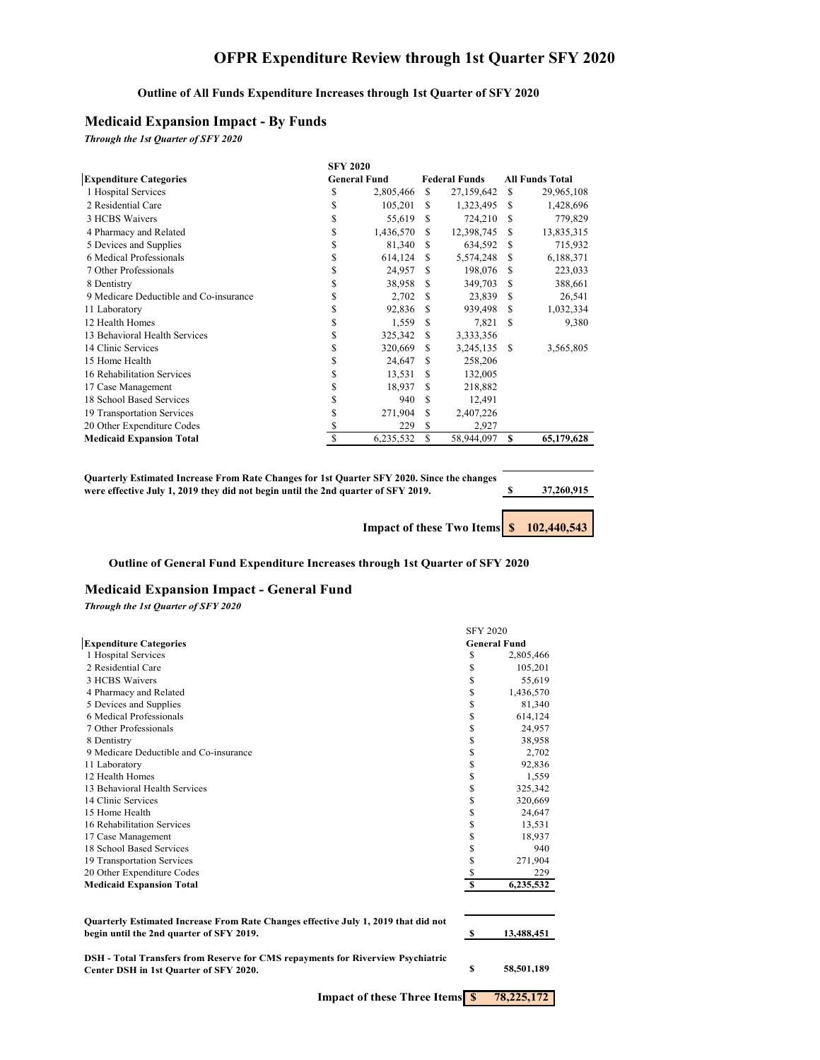# **OFPR Expenditure Review through 1st Quarter SFY 2020**

### **Outline of All Funds Expenditure Increases through 1st Quarter of SFY 2020**

### **Medicaid Expansion Impact - By Funds**

*Through the 1st Quarter of SFY 2020*

|                                        | <b>SFY 2020</b> |                     |          |                      |      |                        |
|----------------------------------------|-----------------|---------------------|----------|----------------------|------|------------------------|
| <b>Expenditure Categories</b>          |                 | <b>General Fund</b> |          | <b>Federal Funds</b> |      | <b>All Funds Total</b> |
| 1 Hospital Services                    | S               | 2,805,466           | S        | 27,159,642           | S    | 29,965,108             |
| 2 Residential Care                     | S               | 105,201             | S        | 1,323,495            | S    | 1,428,696              |
| 3 HCBS Waivers                         | S               | 55,619              | S        | 724,210              | S    | 779,829                |
| 4 Pharmacy and Related                 | \$              | 1,436,570           | S        | 12,398,745           | S    | 13,835,315             |
| 5 Devices and Supplies                 | \$              | 81,340              | S        | 634,592              | S    | 715,932                |
| 6 Medical Professionals                | \$              | 614,124             | S        | 5,574,248            | S    | 6,188,371              |
| 7 Other Professionals                  | S               | 24,957              | £.       | 198,076              | S.   | 223,033                |
| 8 Dentistry                            | \$              | 38,958              | S        | 349,703              | S    | 388,661                |
| 9 Medicare Deductible and Co-insurance | \$              | 2,702               | S        | 23,839               | S    | 26,541                 |
| 11 Laboratory                          | \$              | 92,836              | <b>S</b> | 939,498              | S    | 1,032,334              |
| 12 Health Homes                        | \$              | 1,559               | S        | 7,821                | S    | 9,380                  |
| 13 Behavioral Health Services          | \$              | 325,342             | S        | 3,333,356            |      |                        |
| 14 Clinic Services                     | S               | 320,669             | S        | 3,245,135            | - \$ | 3,565,805              |
| 15 Home Health                         | S               | 24,647              | S        | 258,206              |      |                        |
| 16 Rehabilitation Services             | \$              | 13,531              | S        | 132,005              |      |                        |
| 17 Case Management                     | S               | 18,937              | S        | 218,882              |      |                        |
| 18 School Based Services               | S               | 940                 | S        | 12,491               |      |                        |
| 19 Transportation Services             | \$              | 271,904             | S        | 2,407,226            |      |                        |
| 20 Other Expenditure Codes             | S               | 229                 | S        | 2,927                |      |                        |
| <b>Medicaid Expansion Total</b>        | S               | 6,235,532           | S        | 58,944,097           | S    | 65,179,628             |

| <b>Ouarterly Estimated Increase From Rate Changes for 1st Quarter SFY 2020. Since the changes</b><br>were effective July 1, 2019 they did not begin until the 2nd quarter of SFY 2019. | 37,260,915 |
|----------------------------------------------------------------------------------------------------------------------------------------------------------------------------------------|------------|
| Impact of these Two Items \$ 102,440,543                                                                                                                                               |            |

### **Outline of General Fund Expenditure Increases through 1st Quarter of SFY 2020**

#### **Medicaid Expansion Impact - General Fund**

*Through the 1st Quarter of SFY 2020*

| <b>Expenditure Categories</b><br>1 Hospital Services                                                                                  | <b>SFY 2020</b><br>\$   | <b>General Fund</b><br>2,805,466 |
|---------------------------------------------------------------------------------------------------------------------------------------|-------------------------|----------------------------------|
| 2 Residential Care                                                                                                                    | \$                      | 105,201                          |
| 3 HCBS Waivers                                                                                                                        | \$                      | 55,619                           |
| 4 Pharmacy and Related                                                                                                                | \$                      | 1,436,570                        |
| 5 Devices and Supplies                                                                                                                | \$                      | 81,340                           |
| 6 Medical Professionals                                                                                                               | \$                      | 614,124                          |
| 7 Other Professionals                                                                                                                 | \$                      | 24,957                           |
| 8 Dentistry                                                                                                                           | \$                      | 38,958                           |
| 9 Medicare Deductible and Co-insurance                                                                                                | \$                      | 2,702                            |
| 11 Laboratory                                                                                                                         | \$                      | 92,836                           |
| 12 Health Homes                                                                                                                       | \$                      | 1,559                            |
| 13 Behavioral Health Services                                                                                                         | \$                      | 325,342                          |
| 14 Clinic Services                                                                                                                    | \$                      | 320,669                          |
| 15 Home Health                                                                                                                        | \$                      | 24,647                           |
| 16 Rehabilitation Services                                                                                                            | \$                      | 13,531                           |
| 17 Case Management                                                                                                                    | \$                      | 18,937                           |
| 18 School Based Services                                                                                                              | \$                      | 940                              |
| 19 Transportation Services                                                                                                            | \$                      | 271,904                          |
| 20 Other Expenditure Codes                                                                                                            | \$                      | 229                              |
| <b>Medicaid Expansion Total</b>                                                                                                       | $\overline{\mathbf{s}}$ | 6,235,532                        |
| <b>Ouarterly Estimated Increase From Rate Changes effective July 1, 2019 that did not</b><br>begin until the 2nd quarter of SFY 2019. | S                       | 13,488,451                       |
| DSH - Total Transfers from Reserve for CMS repayments for Riverview Psychiatric<br>Center DSH in 1st Ouarter of SFY 2020.             | S                       | 58,501,189                       |

**Impact of these Three Items**  $\frac{\$}{\$}$  **78,225,172**